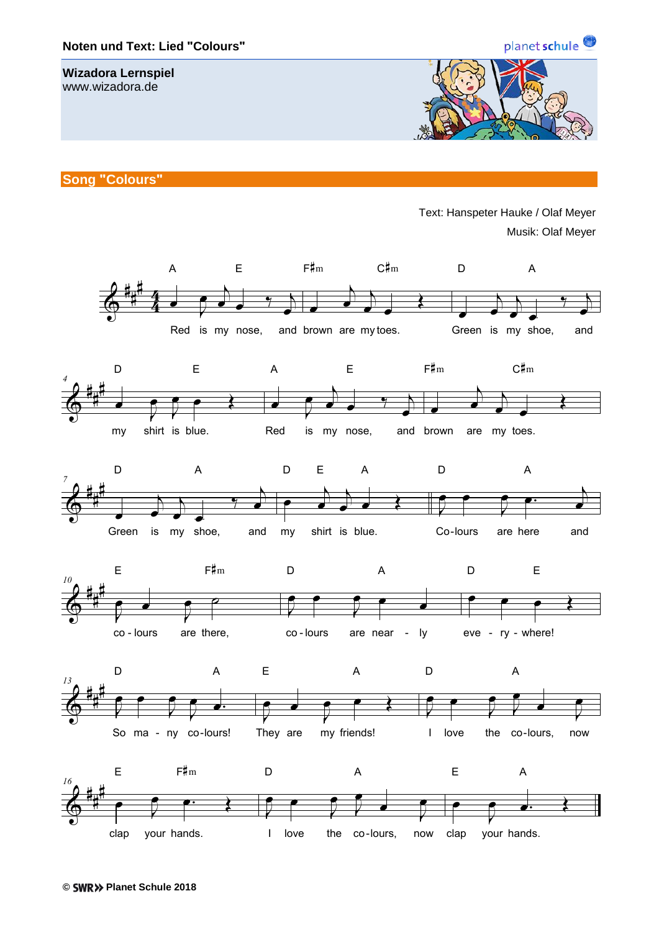

I love the co-lours, now

clap your hands.

planet schule<sup>9</sup>